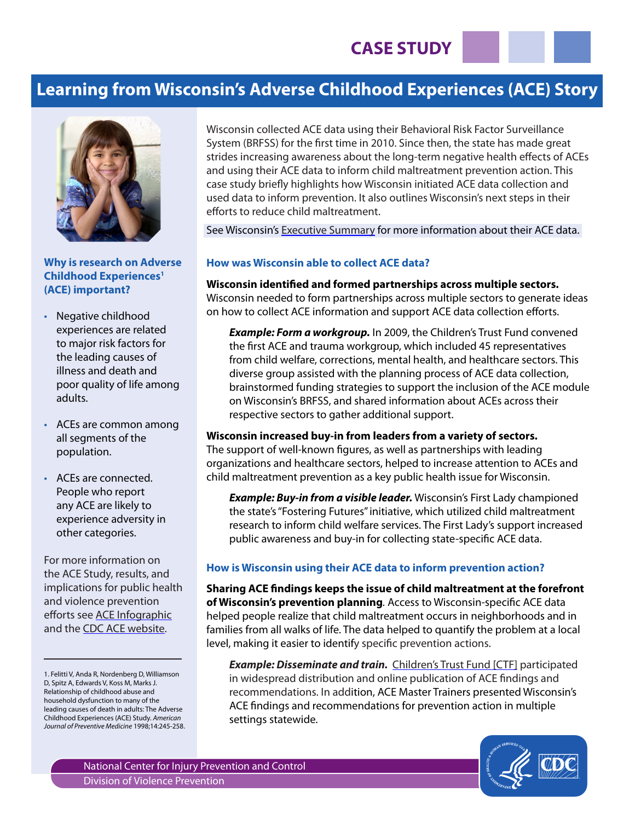# **Learning from Wisconsin's Adverse Childhood Experiences (ACE) Story**



### **Why is research on Adverse Childhood Experiences1 (ACE) important?**

- Negative childhood experiences are related to major risk factors for the leading causes of illness and death and poor quality of life among adults.
- ACEs are common among all segments of the population.
- ACEs are connected. People who report any ACE are likely to experience adversity in other categories.

For more information on the ACE Study, results, and implications for public health and violence prevention efforts see [ACE Infographic](http://vetoviolence.cdc.gov/childmaltreatment/phl/resource_center_infographic.html) and the [CDC ACE website.](http://www.cdc.gov/violenceprevention/acestudy)

Wisconsin collected ACE data using their Behavioral Risk Factor Surveillance System (BRFSS) for the first time in 2010. Since then, the state has made great strides increasing awareness about the long-term negative health effects of ACEs and using their ACE data to inform child maltreatment prevention action. This case study briefly highlights how Wisconsin initiated ACE data collection and used data to inform prevention. It also outlines Wisconsin's next steps in their efforts to reduce child maltreatment.

See Wisconsin's [Executive Summary](http://wichildrenstrustfund.org/files/WisconsinACEs.pdf) for more information about their ACE data.

### **How was Wisconsin able to collect ACE data?**

**Wisconsin identified and formed partnerships across multiple sectors.**  Wisconsin needed to form partnerships across multiple sectors to generate ideas on how to collect ACE information and support ACE data collection efforts.

**Example: Form a workgroup.** In 2009, the Children's Trust Fund convened the first ACE and trauma workgroup, which included 45 representatives from child welfare, corrections, mental health, and healthcare sectors. This diverse group assisted with the planning process of ACE data collection, brainstormed funding strategies to support the inclusion of the ACE module on Wisconsin's BRFSS, and shared information about ACEs across their respective sectors to gather additional support.

## **Wisconsin increased buy-in from leaders from a variety of sectors.**

The support of well-known figures, as well as partnerships with leading organizations and healthcare sectors, helped to increase attention to ACEs and child maltreatment prevention as a key public health issue for Wisconsin.

*Example: Buy-in from a visible leader.* Wisconsin's First Lady championed the state's "Fostering Futures" initiative, which utilized child maltreatment research to inform child welfare services. The First Lady's support increased public awareness and buy-in for collecting state-specific ACE data.

### **How is Wisconsin using their ACE data to inform prevention action?**

**Sharing ACE findings keeps the issue of child maltreatment at the forefront of Wisconsin's prevention planning***.* Access to Wisconsin-specific ACE data helped people realize that child maltreatment occurs in neighborhoods and in families from all walks of life. The data helped to quantify the problem at a local level, making it easier to identify specific prevention actions.

**Example: Disseminate and train.** [Children's Trust Fund](http://www.wichildrenstrustfund.org/) [CTF] participated in widespread distribution and online publication of ACE findings and recommendations. In addition, ACE Master Trainers presented Wisconsin's ACE findings and recommendations for prevention action in multiple settings statewide.



<sup>1.</sup> Felitti V, Anda R, Nordenberg D, Williamson D, Spitz A, Edwards V, Koss M, Marks J. Relationship of childhood abuse and household dysfunction to many of the leading causes of death in adults: The Adverse Childhood Experiences (ACE) Study. *American Journal of Preventive Medicine* 1998;14:245-258.